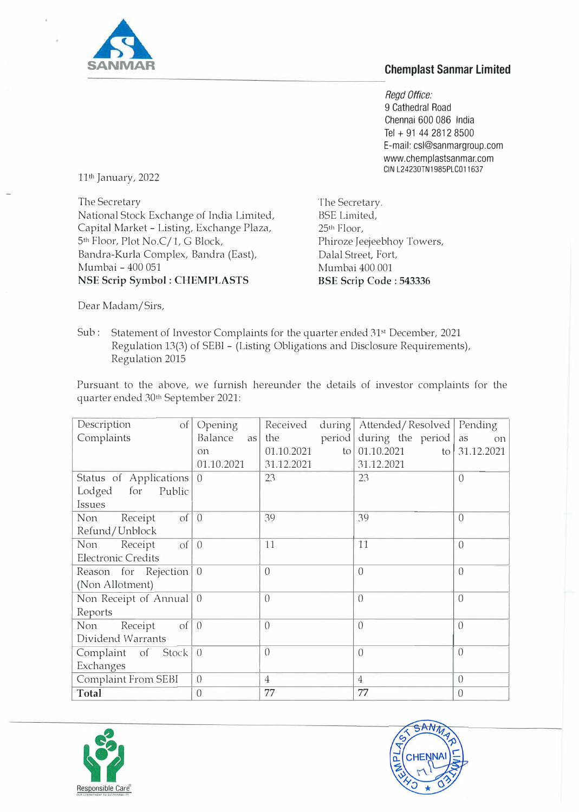

## **Chemplast Sanmar Limited**

*Regd Office:*  9 Cathedral Road Chennai 600 086 India Tel + 91 44 2812 8500 E-mail: csl@sanmargroup.com www.chemplastsanmar.com GIN L24230TN1985PLC011637

11th January, 2022

The Secretary National Stock Exchange of India Limited, Capital Market - Listing, Exchange Plaza, 5th Floor, Plot No.C/1, G Block, Bandra-Kurla Complex, Bandra (East), Mumbai - 400 051 **NSE Scrip Symbol : CHEMPLASTS** 

The Secretary. BSE Limited, 25th Floor, Phiroze Jeejeebhoy Towers, Dalal Street, Fort, Mumbai 400 001 **BSE Scrip Code : 543336** 

Dear Madam/Sirs,

Sub: Statement of Investor Complaints for the quarter ended 31st December, 2021 Regulation 13(3) of SEBI - (Listing Obligations and Disclosure Requirements), Regulation 2015

Pursuant to the above, we furnish hereunder the details of investor complaints for the quarter ended 30th September 2021:

| Description<br>$\Omega$              | Opening        | Received                   | during   Attended / Resolved   Pending |                  |
|--------------------------------------|----------------|----------------------------|----------------------------------------|------------------|
| Complaints                           | Balance<br>as  | period<br>the              | during the period                      | as<br><b>On</b>  |
|                                      | O11            | 01.10.2021<br>$\lfloor$ to | 01.10.2021                             | to 31.12.2021    |
|                                      | 01.10.2021     | 31.12.2021                 | 31.12.2021                             |                  |
| Status of Applications 0             |                | 23                         | 23                                     | $\Omega$         |
| Lodged for<br>Public                 |                |                            |                                        |                  |
| Issues                               |                |                            |                                        |                  |
| $\vert$ of $\vert$<br>Non<br>Receipt | $\overline{0}$ | 39                         | 39                                     | $\Omega$         |
| Refund/Unblock                       |                |                            |                                        |                  |
| $of \mid 0$<br>Receipt<br>Non        |                | 11                         | 11                                     | $\left( \right)$ |
| <b>Electronic Credits</b>            |                |                            |                                        |                  |
| Reason for Rejection 0               |                | $\overline{0}$             | $\overline{0}$                         | $\left( \right)$ |
| (Non Allotment)                      |                |                            |                                        |                  |
| Non Receipt of Annual 0              |                | $\left( \right)$           | $\overline{0}$                         | $\left($         |
| Reports                              |                |                            |                                        |                  |
| $of \mid 0$<br>Non<br>Receipt        |                | $\overline{0}$             | $\overline{0}$                         | $\overline{0}$   |
| Dividend Warrants                    |                |                            |                                        |                  |
| Complaint of Stock 0                 |                | $\overline{0}$             | $\overline{0}$                         | $\overline{0}$   |
| Exchanges                            |                |                            |                                        |                  |
| Complaint From SEBI                  | $\overline{0}$ | $\overline{4}$             | $\overline{4}$                         | $\overline{0}$   |
| Total                                | $\overline{0}$ | 77                         | 77                                     | $\overline{0}$   |